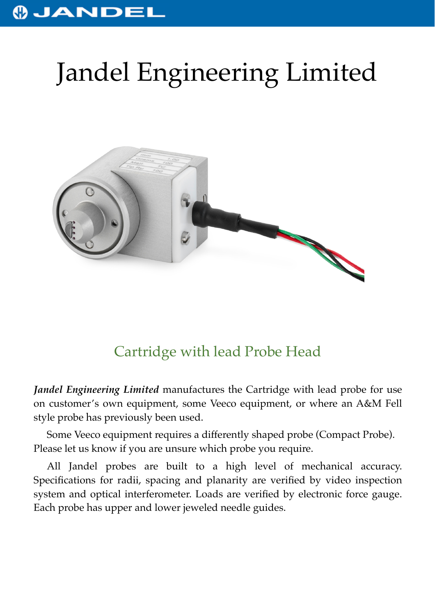## **OJANDEL**

## Jandel Engineering Limited



## Cartridge with lead Probe Head

*Jandel Engineering Limited* manufactures the Cartridge with lead probe for use on customer's own equipment, some Veeco equipment, or where an A&M Fell style probe has previously been used.

Some Veeco equipment requires a differently shaped probe (Compact Probe). Please let us know if you are unsure which probe you require.

All Jandel probes are built to a high level of mechanical accuracy. Specifications for radii, spacing and planarity are verified by video inspection system and optical interferometer. Loads are verified by electronic force gauge. Each probe has upper and lower jeweled needle guides.